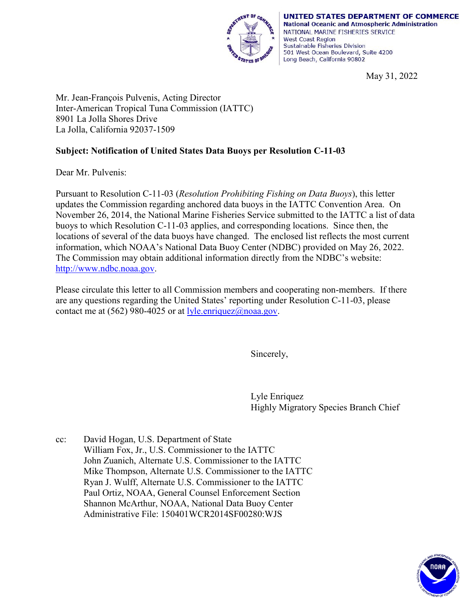

UNITED STATES DEPARTMENT OF COMMERCE **National Oceanic and Atmospheric Administration** NATIONAL MARINE FISHERIES SERVICE **West Coast Region** Sustainable Fisheries Division 501 West Ocean Boulevard, Suite 4200 Long Beach, California 90802

May 31, 2022

Mr. Jean-François Pulvenis, Acting Director Inter-American Tropical Tuna Commission (IATTC) 8901 La Jolla Shores Drive La Jolla, California 92037-1509

## **Subject: Notification of United States Data Buoys per Resolution C-11-03**

Dear Mr. Pulvenis:

Pursuant to Resolution C-11-03 (*Resolution Prohibiting Fishing on Data Buoys*), this letter updates the Commission regarding anchored data buoys in the IATTC Convention Area. On November 26, 2014, the National Marine Fisheries Service submitted to the IATTC a list of data buoys to which Resolution C-11-03 applies, and corresponding locations. Since then, the locations of several of the data buoys have changed. The enclosed list reflects the most current information, which NOAA's National Data Buoy Center (NDBC) provided on May 26, 2022. The Commission may obtain additional information directly from the NDBC's website: [http://www.ndbc.noaa.gov.](http://www.ndbc.noaa.gov/)

Please circulate this letter to all Commission members and cooperating non-members. If there are any questions regarding the United States' reporting under Resolution C-11-03, please contact me at (562) 980-4025 or at  $lyle.enriquez@noaa.gov.$ </u>

Sincerely,

Lyle Enriquez Highly Migratory Species Branch Chief

cc: David Hogan, U.S. Department of State William Fox, Jr., U.S. Commissioner to the IATTC John Zuanich, Alternate U.S. Commissioner to the IATTC Mike Thompson, Alternate U.S. Commissioner to the IATTC Ryan J. Wulff, Alternate U.S. Commissioner to the IATTC Paul Ortiz, NOAA, General Counsel Enforcement Section Shannon McArthur, NOAA, National Data Buoy Center Administrative File: 150401WCR2014SF00280:WJS

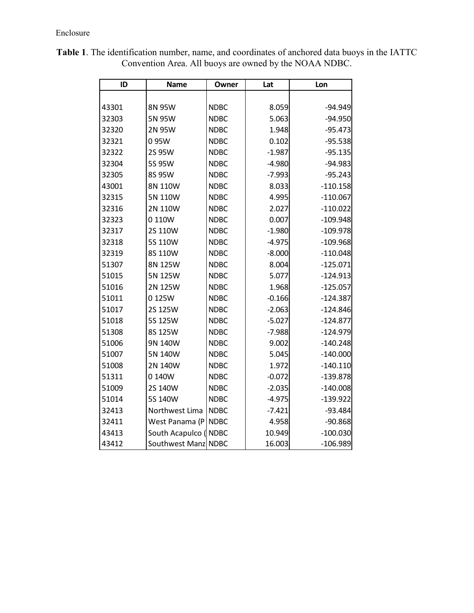| ID    | <b>Name</b>         | Owner       | Lat      | Lon        |  |
|-------|---------------------|-------------|----------|------------|--|
|       |                     |             |          |            |  |
| 43301 | 8N 95W              | <b>NDBC</b> | 8.059    | $-94.949$  |  |
| 32303 | 5N 95W              | <b>NDBC</b> | 5.063    | $-94.950$  |  |
| 32320 | 2N 95W              | <b>NDBC</b> | 1.948    | $-95.473$  |  |
| 32321 | 095W                | <b>NDBC</b> | 0.102    | $-95.538$  |  |
| 32322 | 2S 95W              | <b>NDBC</b> | $-1.987$ | $-95.135$  |  |
| 32304 | 5S 95W              | <b>NDBC</b> | $-4.980$ | $-94.983$  |  |
| 32305 | 8S 95W              | <b>NDBC</b> | $-7.993$ | $-95.243$  |  |
| 43001 | 8N 110W             | <b>NDBC</b> | 8.033    | $-110.158$ |  |
| 32315 | 5N 110W             | <b>NDBC</b> | 4.995    | $-110.067$ |  |
| 32316 | 2N 110W             | <b>NDBC</b> | 2.027    | $-110.022$ |  |
| 32323 | 0 110W              | <b>NDBC</b> | 0.007    | $-109.948$ |  |
| 32317 | 2S 110W             | <b>NDBC</b> | $-1.980$ | $-109.978$ |  |
| 32318 | 5S 110W             | <b>NDBC</b> | $-4.975$ | $-109.968$ |  |
| 32319 | 8S 110W             | <b>NDBC</b> | $-8.000$ | $-110.048$ |  |
| 51307 | 8N 125W             | <b>NDBC</b> | 8.004    | $-125.071$ |  |
| 51015 | 5N 125W             | <b>NDBC</b> | 5.077    | $-124.913$ |  |
| 51016 | 2N 125W             | <b>NDBC</b> | 1.968    | $-125.057$ |  |
| 51011 | 0125W               | <b>NDBC</b> | $-0.166$ | $-124.387$ |  |
| 51017 | 2S 125W             | <b>NDBC</b> | $-2.063$ | $-124.846$ |  |
| 51018 | 5S 125W             | <b>NDBC</b> | $-5.027$ | $-124.877$ |  |
| 51308 | 8S 125W             | <b>NDBC</b> | $-7.988$ | $-124.979$ |  |
| 51006 | 9N 140W             | <b>NDBC</b> | 9.002    | $-140.248$ |  |
| 51007 | 5N 140W             | <b>NDBC</b> | 5.045    | $-140.000$ |  |
| 51008 | 2N 140W             | <b>NDBC</b> | 1.972    | $-140.110$ |  |
| 51311 | 0 140W              | <b>NDBC</b> | $-0.072$ | $-139.878$ |  |
| 51009 | 2S 140W             | <b>NDBC</b> | $-2.035$ | $-140.008$ |  |
| 51014 | 5S 140W             | <b>NDBC</b> | $-4.975$ | $-139.922$ |  |
| 32413 | Northwest Lima      | <b>NDBC</b> | $-7.421$ | $-93.484$  |  |
| 32411 | West Panama (P      | <b>NDBC</b> | 4.958    | $-90.868$  |  |
| 43413 | South Acapulco (    | <b>NDBC</b> | 10.949   | $-100.030$ |  |
| 43412 | Southwest Manz NDBC |             | 16.003   | $-106.989$ |  |

**Table 1**. The identification number, name, and coordinates of anchored data buoys in the IATTC Convention Area. All buoys are owned by the NOAA NDBC.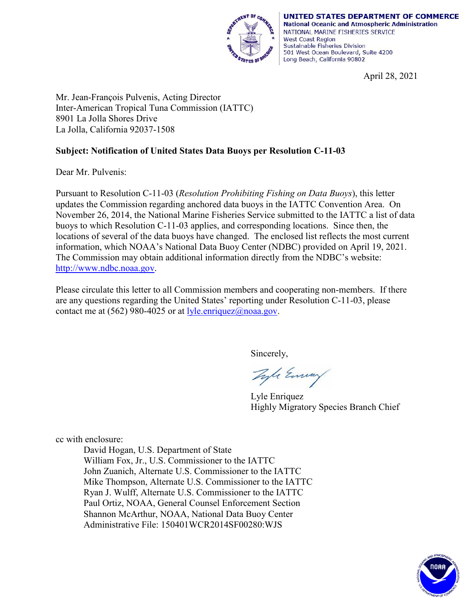

UNITED STATES DEPARTMENT OF COMMERCE **National Oceanic and Atmospheric Administration** NATIONAL MARINE FISHERIES SERVICE **West Coast Region** Sustainable Fisheries Division 501 West Ocean Boulevard, Suite 4200 Long Beach, California 90802

April 28, 2021

Mr. Jean-François Pulvenis, Acting Director Inter-American Tropical Tuna Commission (IATTC) 8901 La Jolla Shores Drive La Jolla, California 92037-1508

## **Subject: Notification of United States Data Buoys per Resolution C-11-03**

Dear Mr. Pulvenis:

Pursuant to Resolution C-11-03 (*Resolution Prohibiting Fishing on Data Buoys*), this letter updates the Commission regarding anchored data buoys in the IATTC Convention Area. On November 26, 2014, the National Marine Fisheries Service submitted to the IATTC a list of data buoys to which Resolution C-11-03 applies, and corresponding locations. Since then, the locations of several of the data buoys have changed. The enclosed list reflects the most current information, which NOAA's National Data Buoy Center (NDBC) provided on April 19, 2021. The Commission may obtain additional information directly from the NDBC's website: [http://www.ndbc.noaa.gov.](http://www.ndbc.noaa.gov/)

Please circulate this letter to all Commission members and cooperating non-members. If there are any questions regarding the United States' reporting under Resolution C-11-03, please contact me at (562) 980-4025 or at  $lyle.enriquez( $\omega$ )<sub>noaa.gov</sub>.$ </u>

Sincerely,

Tyle Eminy

Lyle Enriquez Highly Migratory Species Branch Chief

cc with enclosure:

David Hogan, U.S. Department of State William Fox, Jr., U.S. Commissioner to the IATTC John Zuanich, Alternate U.S. Commissioner to the IATTC Mike Thompson, Alternate U.S. Commissioner to the IATTC Ryan J. Wulff, Alternate U.S. Commissioner to the IATTC Paul Ortiz, NOAA, General Counsel Enforcement Section Shannon McArthur, NOAA, National Data Buoy Center Administrative File: 150401WCR2014SF00280:WJS

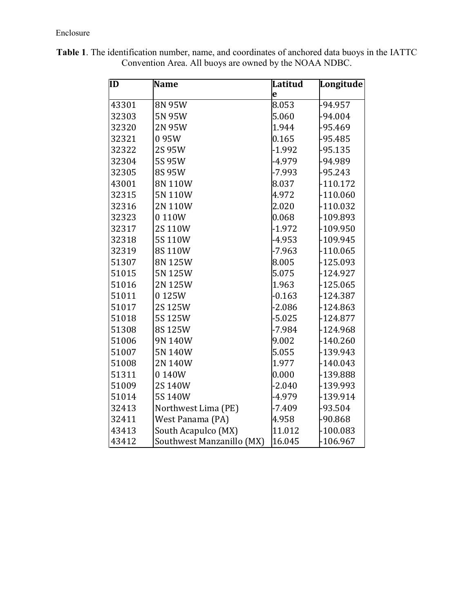| ĪD    | <b>Name</b>               | <b>Latitud</b> | Longitude  |
|-------|---------------------------|----------------|------------|
|       |                           | e              |            |
| 43301 | 8N 95W                    | 8.053          | -94.957    |
| 32303 | 5N 95W                    | 5.060          | $-94.004$  |
| 32320 | 2N 95W                    | 1.944          | -95.469    |
| 32321 | 095W                      | 0.165          | $-95.485$  |
| 32322 | 2S 95W                    | $-1.992$       | $-95.135$  |
| 32304 | 5S 95W                    | -4.979         | -94.989    |
| 32305 | 8S 95W                    | $-7.993$       | $-95.243$  |
| 43001 | 8N 110W                   | 8.037          | $-110.172$ |
| 32315 | 5N 110W                   | 4.972          | $-110.060$ |
| 32316 | 2N 110W                   | 2.020          | $-110.032$ |
| 32323 | 0110W                     | 0.068          | -109.893   |
| 32317 | 2S 110W                   | $-1.972$       | $-109.950$ |
| 32318 | 5S110W                    | $-4.953$       | $-109.945$ |
| 32319 | 8S110W                    | $-7.963$       | $-110.065$ |
| 51307 | 8N 125W                   | 8.005          | $-125.093$ |
| 51015 | 5N 125W                   | 5.075          | $-124.927$ |
| 51016 | 2N 125W                   | 1.963          | $-125.065$ |
| 51011 | 0125W                     | $-0.163$       | $-124.387$ |
| 51017 | 2S 125W                   | $-2.086$       | $-124.863$ |
| 51018 | 5S 125W                   | $-5.025$       | $-124.877$ |
| 51308 | 8S125W                    | $-7.984$       | $-124.968$ |
| 51006 | 9N 140W                   | 9.002          | $-140.260$ |
| 51007 | 5N 140W                   | 5.055          | -139.943   |
| 51008 | 2N 140W                   | 1.977          | $-140.043$ |
| 51311 | 0140W                     | 0.000          | -139.888   |
| 51009 | 2S 140W                   | $-2.040$       | -139.993   |
| 51014 | 5S 140W                   | $-4.979$       | -139.914   |
| 32413 | Northwest Lima (PE)       | $-7.409$       | $-93.504$  |
| 32411 | West Panama (PA)          | 4.958          | $-90.868$  |
| 43413 | South Acapulco (MX)       | 11.012         | $-100.083$ |
| 43412 | Southwest Manzanillo (MX) | 16.045         | $-106.967$ |

**Table 1**. The identification number, name, and coordinates of anchored data buoys in the IATTC Convention Area. All buoys are owned by the NOAA NDBC.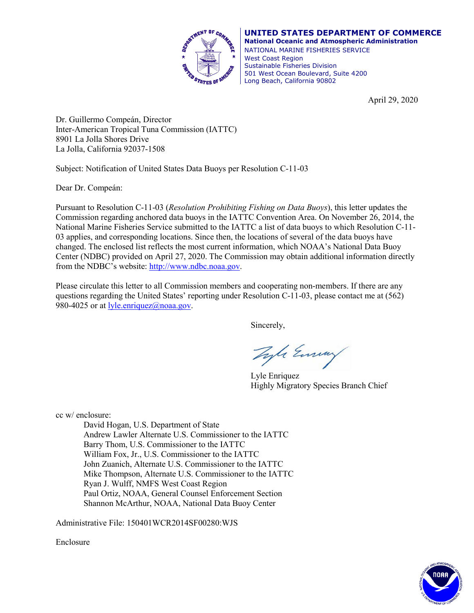

**UNITED STATES DEPARTMENT OF COMMERCE National Oceanic and Atmospheric Administration** NATIONAL MARINE FISHERIES SERVICE West Coast Region Sustainable Fisheries Division 501 West Ocean Boulevard, Suite 4200 Long Beach, California 90802

April 29, 2020

Dr. Guillermo Compeán, Director Inter-American Tropical Tuna Commission (IATTC) 8901 La Jolla Shores Drive La Jolla, California 92037-1508

Subject: Notification of United States Data Buoys per Resolution C-11-03

Dear Dr. Compeán:

Pursuant to Resolution C-11-03 (*Resolution Prohibiting Fishing on Data Buoys*), this letter updates the Commission regarding anchored data buoys in the IATTC Convention Area. On November 26, 2014, the National Marine Fisheries Service submitted to the IATTC a list of data buoys to which Resolution C-11- 03 applies, and corresponding locations. Since then, the locations of several of the data buoys have changed. The enclosed list reflects the most current information, which NOAA's National Data Buoy Center (NDBC) provided on April 27, 2020. The Commission may obtain additional information directly from the NDBC's website: [http://www.ndbc.noaa.gov.](http://www.ndbc.noaa.gov/)

Please circulate this letter to all Commission members and cooperating non-members. If there are any questions regarding the United States' reporting under Resolution C-11-03, please contact me at (562) 980-4025 or at  $lyle.enriquez@pooa.gov.$ </u>

Sincerely,

Tyle Emmy

Lyle Enriquez Highly Migratory Species Branch Chief

cc w/ enclosure:

David Hogan, U.S. Department of State Andrew Lawler Alternate U.S. Commissioner to the IATTC Barry Thom, U.S. Commissioner to the IATTC William Fox, Jr., U.S. Commissioner to the IATTC John Zuanich, Alternate U.S. Commissioner to the IATTC Mike Thompson, Alternate U.S. Commissioner to the IATTC Ryan J. Wulff, NMFS West Coast Region Paul Ortiz, NOAA, General Counsel Enforcement Section Shannon McArthur, NOAA, National Data Buoy Center

Administrative File: 150401WCR2014SF00280:WJS

Enclosure

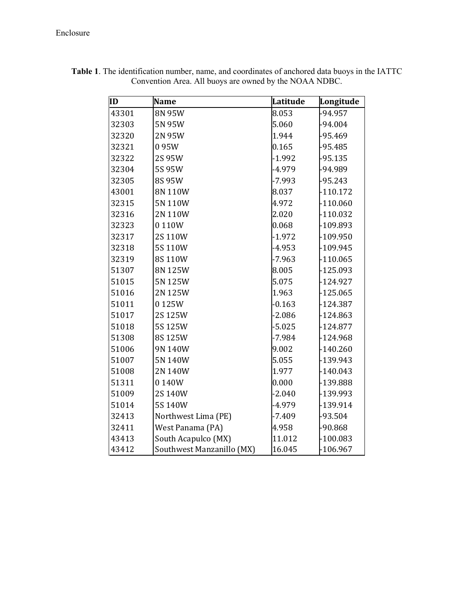| ID    | <b>Name</b>               | Latitude | Longitude  |
|-------|---------------------------|----------|------------|
| 43301 | 8N 95W                    | 8.053    | -94.957    |
| 32303 | 5N 95W                    | 5.060    | $-94.004$  |
| 32320 | 2N 95W                    | 1.944    | $-95.469$  |
| 32321 | 095W                      | 0.165    | $-95.485$  |
| 32322 | 2S 95W                    | $-1.992$ | $-95.135$  |
| 32304 | 5S 95W                    | $-4.979$ | -94.989    |
| 32305 | 8S 95W                    | $-7.993$ | $-95.243$  |
| 43001 | 8N 110W                   | 8.037    | $-110.172$ |
| 32315 | 5N 110W                   | 4.972    | $-110.060$ |
| 32316 | 2N 110W                   | 2.020    | $-110.032$ |
| 32323 | 0110W                     | 0.068    | -109.893   |
| 32317 | 2S 110W                   | $-1.972$ | $-109.950$ |
| 32318 | 5S 110W                   | $-4.953$ | -109.945   |
| 32319 | 8S 110W                   | $-7.963$ | $-110.065$ |
| 51307 | 8N 125W                   | 8.005    | $-125.093$ |
| 51015 | 5N 125W                   | 5.075    | $-124.927$ |
| 51016 | 2N 125W                   | 1.963    | $-125.065$ |
| 51011 | 0125W                     | $-0.163$ | $-124.387$ |
| 51017 | 2S 125W                   | $-2.086$ | $-124.863$ |
| 51018 | 5S 125W                   | $-5.025$ | $-124.877$ |
| 51308 | 8S125W                    | $-7.984$ | $-124.968$ |
| 51006 | 9N 140W                   | 9.002    | $-140.260$ |
| 51007 | 5N 140W                   | 5.055    | -139.943   |
| 51008 | 2N 140W                   | 1.977    | $-140.043$ |
| 51311 | 0140W                     | 0.000    | -139.888   |
| 51009 | 2S 140W                   | $-2.040$ | -139.993   |
| 51014 | 5S 140W                   | -4.979   | -139.914   |
| 32413 | Northwest Lima (PE)       | $-7.409$ | -93.504    |
| 32411 | West Panama (PA)          | 4.958    | $-90.868$  |
| 43413 | South Acapulco (MX)       | 11.012   | $-100.083$ |
| 43412 | Southwest Manzanillo (MX) | 16.045   | $-106.967$ |

**Table 1**. The identification number, name, and coordinates of anchored data buoys in the IATTC Convention Area. All buoys are owned by the NOAA NDBC.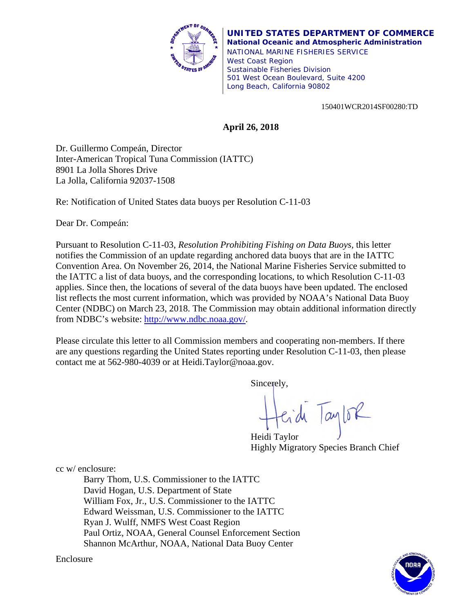

**UNITED STATES DEPARTMENT OF COMMERCE National Oceanic and Atmospheric Administration** NATIONAL MARINE FISHERIES SERVICE West Coast Region Sustainable Fisheries Division 501 West Ocean Boulevard, Suite 4200 Long Beach, California 90802

150401WCR2014SF00280:TD

## **April 26, 2018**

Dr. Guillermo Compeán, Director Inter-American Tropical Tuna Commission (IATTC) 8901 La Jolla Shores Drive La Jolla, California 92037-1508

Re: Notification of United States data buoys per Resolution C-11-03

Dear Dr. Compeán:

Pursuant to Resolution C-11-03, *Resolution Prohibiting Fishing on Data Buoys,* this letter notifies the Commission of an update regarding anchored data buoys that are in the IATTC Convention Area. On November 26, 2014, the National Marine Fisheries Service submitted to the IATTC a list of data buoys, and the corresponding locations, to which Resolution C-11-03 applies. Since then, the locations of several of the data buoys have been updated. The enclosed list reflects the most current information, which was provided by NOAA's National Data Buoy Center (NDBC) on March 23, 2018. The Commission may obtain additional information directly from NDBC's website: http://www.ndbc.noaa.gov/.

Please circulate this letter to all Commission members and cooperating non-members. If there are any questions regarding the United States reporting under Resolution C-11-03, then please contact me at 562-980-4039 or at Heidi.Taylor@noaa.gov.

Sincerely,

Heidi Taylor

Highly Migratory Species Branch Chief

cc w/ enclosure:

Barry Thom, U.S. Commissioner to the IATTC David Hogan, U.S. Department of State William Fox, Jr., U.S. Commissioner to the IATTC Edward Weissman, U.S. Commissioner to the IATTC Ryan J. Wulff, NMFS West Coast Region Paul Ortiz, NOAA, General Counsel Enforcement Section Shannon McArthur, NOAA, National Data Buoy Center



Enclosure